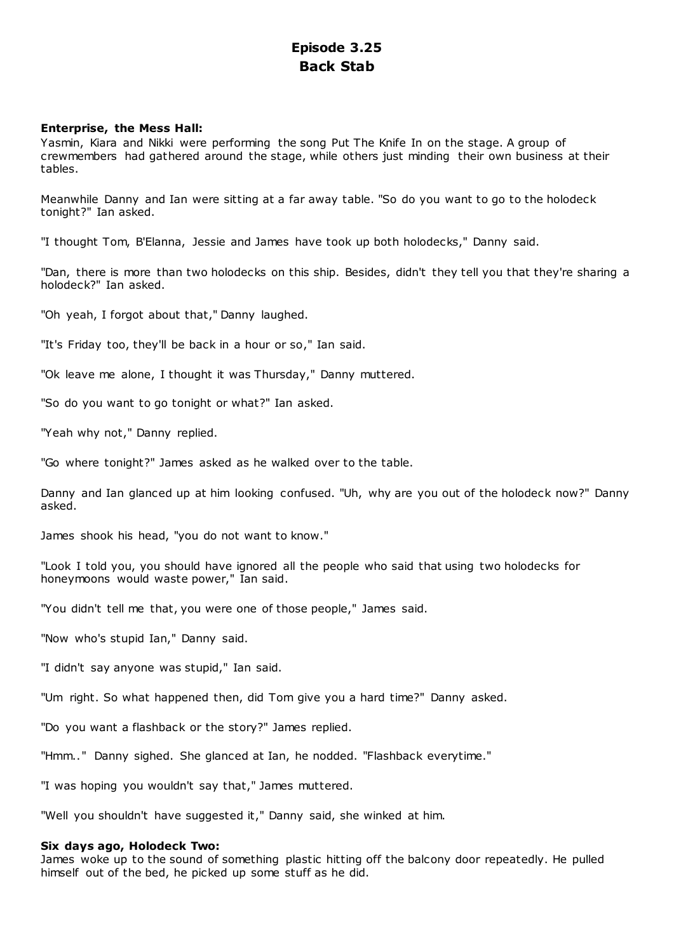# **Episode 3.25 Back Stab**

# **Enterprise, the Mess Hall:**

Yasmin, Kiara and Nikki were performing the song Put The Knife In on the stage. A group of crewmembers had gathered around the stage, while others just minding their own business at their tables.

Meanwhile Danny and Ian were sitting at a far away table. "So do you want to go to the holodeck tonight?" Ian asked.

"I thought Tom, B'Elanna, Jessie and James have took up both holodecks," Danny said.

"Dan, there is more than two holodecks on this ship. Besides, didn't they tell you that they're sharing a holodeck?" Ian asked.

"Oh yeah, I forgot about that," Danny laughed.

"It's Friday too, they'll be back in a hour or so," Ian said.

"Ok leave me alone, I thought it was Thursday," Danny muttered.

"So do you want to go tonight or what?" Ian asked.

"Yeah why not," Danny replied.

"Go where tonight?" James asked as he walked over to the table.

Danny and Ian glanced up at him looking confused. "Uh, why are you out of the holodeck now?" Danny asked.

James shook his head, "you do not want to know."

"Look I told you, you should have ignored all the people who said that using two holodecks for honeymoons would waste power," Ian said.

"You didn't tell me that, you were one of those people," James said.

"Now who's stupid Ian," Danny said.

"I didn't say anyone was stupid," Ian said.

"Um right. So what happened then, did Tom give you a hard time?" Danny asked.

"Do you want a flashback or the story?" James replied.

"Hmm.." Danny sighed. She glanced at Ian, he nodded. "Flashback everytime."

"I was hoping you wouldn't say that," James muttered.

"Well you shouldn't have suggested it," Danny said, she winked at him.

# **Six days ago, Holodeck Two:**

James woke up to the sound of something plastic hitting off the balcony door repeatedly. He pulled himself out of the bed, he picked up some stuff as he did.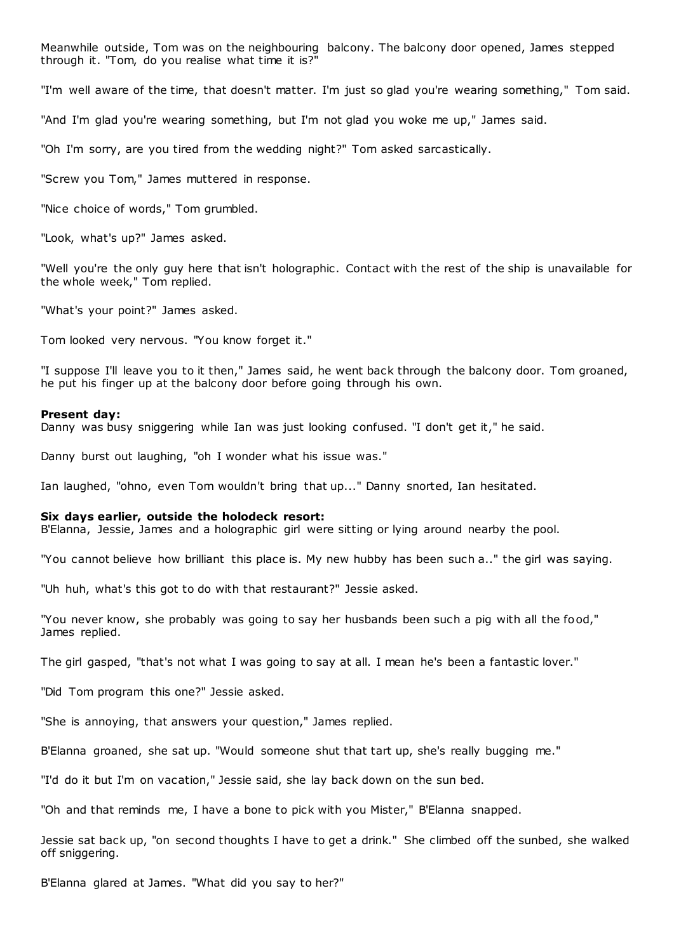Meanwhile outside, Tom was on the neighbouring balcony. The balcony door opened, James stepped through it. "Tom, do you realise what time it is?"

"I'm well aware of the time, that doesn't matter. I'm just so glad you're wearing something," Tom said.

"And I'm glad you're wearing something, but I'm not glad you woke me up," James said.

"Oh I'm sorry, are you tired from the wedding night?" Tom asked sarcastically.

"Screw you Tom," James muttered in response.

"Nice choice of words," Tom grumbled.

"Look, what's up?" James asked.

"Well you're the only guy here that isn't holographic . Contact with the rest of the ship is unavailable for the whole week," Tom replied.

"What's your point?" James asked.

Tom looked very nervous. "You know forget it."

"I suppose I'll leave you to it then," James said, he went back through the balcony door. Tom groaned, he put his finger up at the balcony door before going through his own.

#### **Present day:**

Danny was busy sniggering while Ian was just looking confused. "I don't get it," he said.

Danny burst out laughing, "oh I wonder what his issue was."

Ian laughed, "ohno, even Tom wouldn't bring that up..." Danny snorted, Ian hesitated.

### **Six days earlier, outside the holodeck resort:**

B'Elanna, Jessie, James and a holographic girl were sitting or lying around nearby the pool.

"You cannot believe how brilliant this place is. My new hubby has been such a.." the girl was saying.

"Uh huh, what's this got to do with that restaurant?" Jessie asked.

"You never know, she probably was going to say her husbands been such a pig with all the food," James replied.

The girl gasped, "that's not what I was going to say at all. I mean he's been a fantastic lover."

"Did Tom program this one?" Jessie asked.

"She is annoying, that answers your question," James replied.

B'Elanna groaned, she sat up. "Would someone shut that tart up, she's really bugging me."

"I'd do it but I'm on vacation," Jessie said, she lay back down on the sun bed.

"Oh and that reminds me, I have a bone to pick with you Mister," B'Elanna snapped.

Jessie sat back up, "on second thoughts I have to get a drink." She climbed off the sunbed, she walked off sniggering.

B'Elanna glared at James. "What did you say to her?"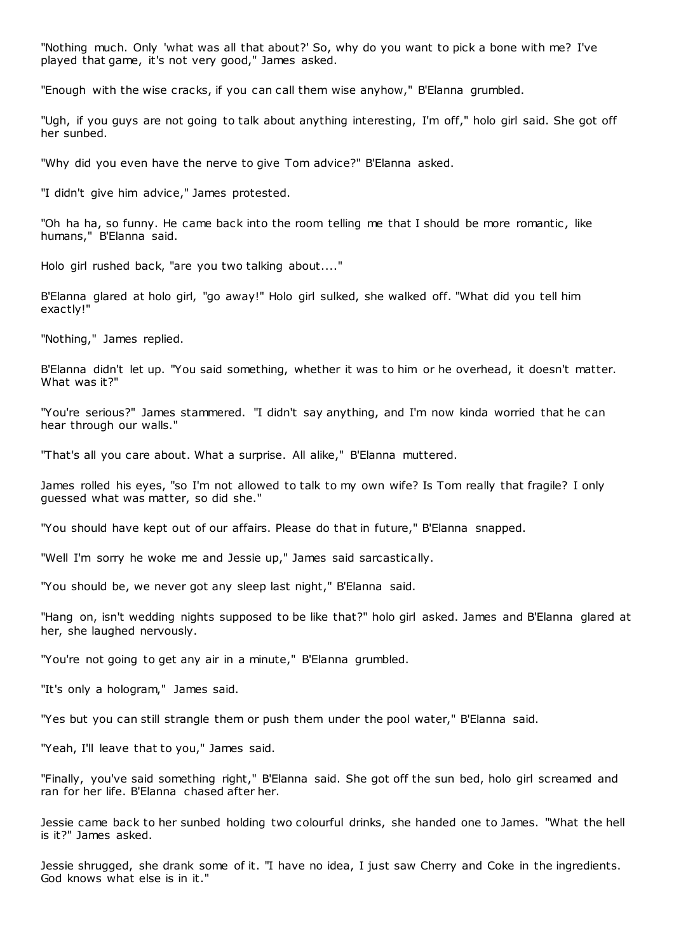"Nothing much. Only 'what was all that about?' So, why do you want to pick a bone with me? I've played that game, it's not very good," James asked.

"Enough with the wise cracks, if you can call them wise anyhow," B'Elanna grumbled.

"Ugh, if you guys are not going to talk about anything interesting, I'm off," holo girl said. She got off her sunbed.

"Why did you even have the nerve to give Tom advice?" B'Elanna asked.

"I didn't give him advice," James protested.

"Oh ha ha, so funny. He came back into the room telling me that I should be more romantic, like humans," B'Elanna said.

Holo girl rushed back, "are you two talking about...."

B'Elanna glared at holo girl, "go away!" Holo girl sulked, she walked off. "What did you tell him exactly!"

"Nothing," James replied.

B'Elanna didn't let up. "You said something, whether it was to him or he overhead, it doesn't matter. What was it?"

"You're serious?" James stammered. "I didn't say anything, and I'm now kinda worried that he can hear through our walls."

"That's all you care about. What a surprise. All alike," B'Elanna muttered.

James rolled his eyes, "so I'm not allowed to talk to my own wife? Is Tom really that fragile? I only guessed what was matter, so did she."

"You should have kept out of our affairs. Please do that in future," B'Elanna snapped.

"Well I'm sorry he woke me and Jessie up," James said sarcastically.

"You should be, we never got any sleep last night," B'Elanna said.

"Hang on, isn't wedding nights supposed to be like that?" holo girl asked. James and B'Elanna glared at her, she laughed nervously.

"You're not going to get any air in a minute," B'Elanna grumbled.

"It's only a hologram," James said.

"Yes but you can still strangle them or push them under the pool water," B'Elanna said.

"Yeah, I'll leave that to you," James said.

"Finally, you've said something right," B'Elanna said. She got off the sun bed, holo girl screamed and ran for her life. B'Elanna chased after her.

Jessie came back to her sunbed holding two colourful drinks, she handed one to James. "What the hell is it?" James asked.

Jessie shrugged, she drank some of it. "I have no idea, I just saw Cherry and Coke in the ingredients. God knows what else is in it."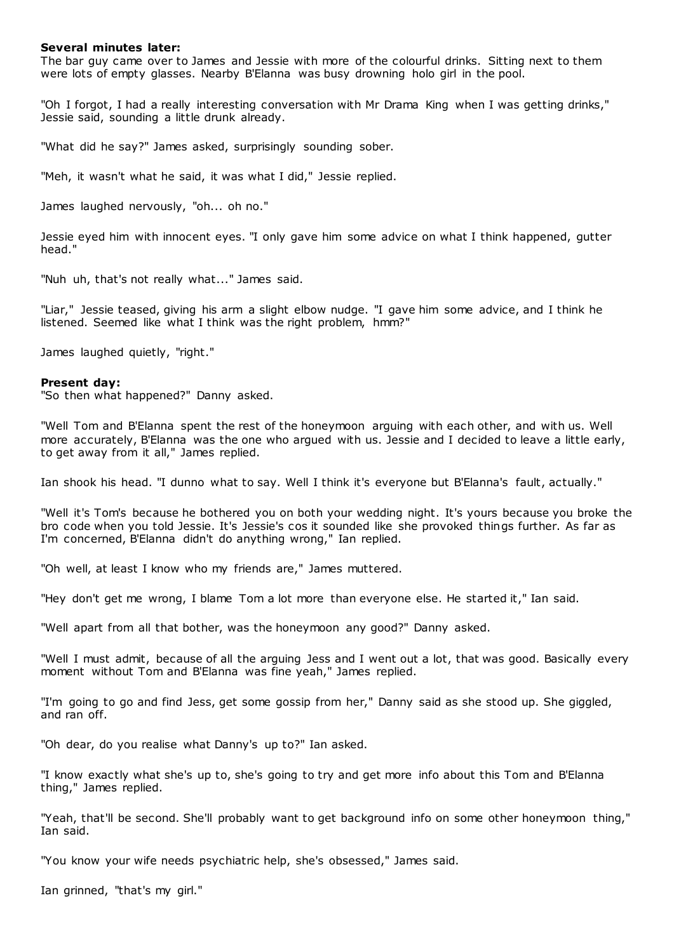### **Several minutes later:**

The bar guy came over to James and Jessie with more of the colourful drinks. Sitting next to them were lots of empty glasses. Nearby B'Elanna was busy drowning holo girl in the pool.

"Oh I forgot, I had a really interesting conversation with Mr Drama King when I was getting drinks," Jessie said, sounding a little drunk already.

"What did he say?" James asked, surprisingly sounding sober.

"Meh, it wasn't what he said, it was what I did," Jessie replied.

James laughed nervously, "oh... oh no."

Jessie eyed him with innocent eyes. "I only gave him some advice on what I think happened, gutter head."

"Nuh uh, that's not really what..." James said.

"Liar," Jessie teased, giving his arm a slight elbow nudge. "I gave him some advice, and I think he listened. Seemed like what I think was the right problem, hmm?"

James laughed quietly, "right."

### **Present day:**

"So then what happened?" Danny asked.

"Well Tom and B'Elanna spent the rest of the honeymoon arguing with each other, and with us. Well more accurately, B'Elanna was the one who argued with us. Jessie and I decided to leave a little early, to get away from it all," James replied.

Ian shook his head. "I dunno what to say. Well I think it's everyone but B'Elanna's fault, actually."

"Well it's Tom's because he bothered you on both your wedding night. It's yours because you broke the bro code when you told Jessie. It's Jessie's cos it sounded like she provoked things further. As far as I'm concerned, B'Elanna didn't do anything wrong," Ian replied.

"Oh well, at least I know who my friends are," James muttered.

"Hey don't get me wrong, I blame Tom a lot more than everyone else. He started it," Ian said.

"Well apart from all that bother, was the honeymoon any good?" Danny asked.

"Well I must admit, because of all the arguing Jess and I went out a lot, that was good. Basically every moment without Tom and B'Elanna was fine yeah," James replied.

"I'm going to go and find Jess, get some gossip from her," Danny said as she stood up. She giggled, and ran off.

"Oh dear, do you realise what Danny's up to?" Ian asked.

"I know exactly what she's up to, she's going to try and get more info about this Tom and B'Elanna thing," James replied.

"Yeah, that'll be second. She'll probably want to get background info on some other honeymoon thing," Ian said.

"You know your wife needs psychiatric help, she's obsessed," James said.

Ian grinned, "that's my girl."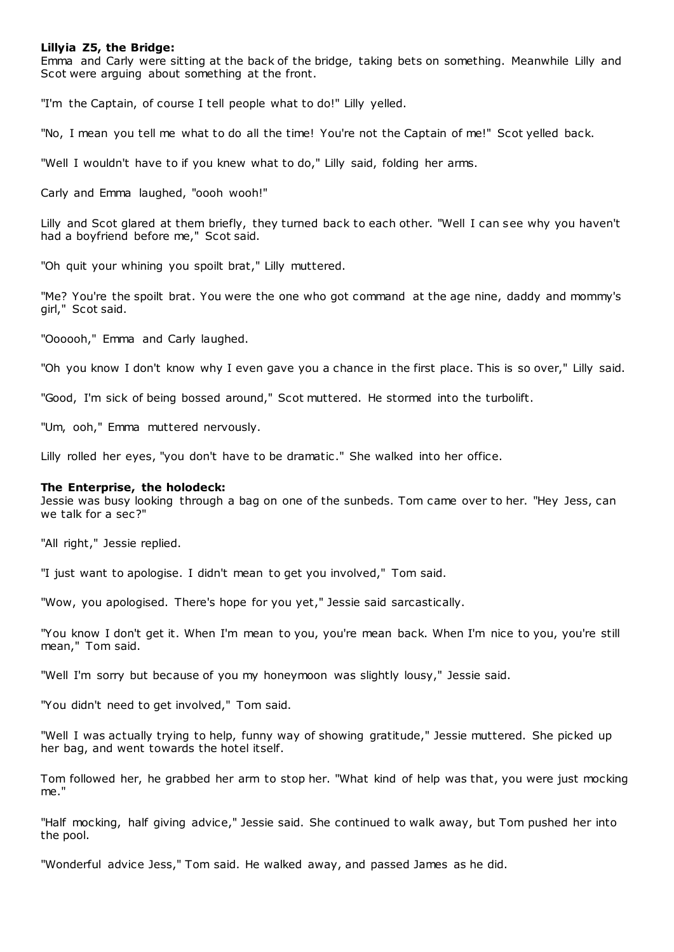### **Lillyia Z5, the Bridge:**

Emma and Carly were sitting at the back of the bridge, taking bets on something. Meanwhile Lilly and Scot were arguing about something at the front.

"I'm the Captain, of course I tell people what to do!" Lilly yelled.

"No, I mean you tell me what to do all the time! You're not the Captain of me!" Scot yelled back.

"Well I wouldn't have to if you knew what to do," Lilly said, folding her arms.

Carly and Emma laughed, "oooh wooh!"

Lilly and Scot glared at them briefly, they turned back to each other. "Well I can see why you haven't had a boyfriend before me," Scot said.

"Oh quit your whining you spoilt brat," Lilly muttered.

"Me? You're the spoilt brat. You were the one who got command at the age nine, daddy and mommy's girl," Scot said.

"Oooooh," Emma and Carly laughed.

"Oh you know I don't know why I even gave you a chance in the first place. This is so over," Lilly said.

"Good, I'm sick of being bossed around," Scot muttered. He stormed into the turbolift.

"Um, ooh," Emma muttered nervously.

Lilly rolled her eyes, "you don't have to be dramatic ." She walked into her office.

### **The Enterprise, the holodeck:**

Jessie was busy looking through a bag on one of the sunbeds. Tom came over to her. "Hey Jess, can we talk for a sec?"

"All right," Jessie replied.

"I just want to apologise. I didn't mean to get you involved," Tom said.

"Wow, you apologised. There's hope for you yet," Jessie said sarcastically.

"You know I don't get it. When I'm mean to you, you're mean back. When I'm nice to you, you're still mean," Tom said.

"Well I'm sorry but because of you my honeymoon was slightly lousy," Jessie said.

"You didn't need to get involved," Tom said.

"Well I was actually trying to help, funny way of showing gratitude," Jessie muttered. She picked up her bag, and went towards the hotel itself.

Tom followed her, he grabbed her arm to stop her. "What kind of help was that, you were just mocking me."

"Half mocking, half giving advice," Jessie said. She continued to walk away, but Tom pushed her into the pool.

"Wonderful advice Jess," Tom said. He walked away, and passed James as he did.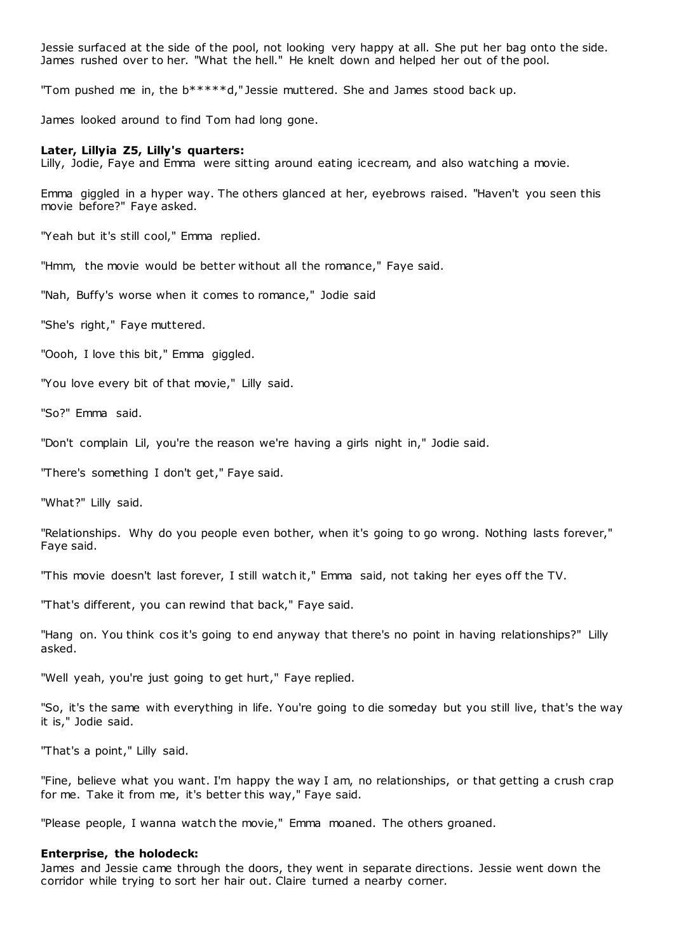Jessie surfaced at the side of the pool, not looking very happy at all. She put her bag onto the side. James rushed over to her. "What the hell." He knelt down and helped her out of the pool.

"Tom pushed me in, the b\*\*\*\*\*d," Jessie muttered. She and James stood back up.

James looked around to find Tom had long gone.

#### **Later, Lillyia Z5, Lilly's quarters:**

Lilly, Jodie, Faye and Emma were sitting around eating icecream, and also watching a movie.

Emma giggled in a hyper way. The others glanced at her, eyebrows raised. "Haven't you seen this movie before?" Faye asked.

"Yeah but it's still cool," Emma replied.

"Hmm, the movie would be better without all the romance," Faye said.

"Nah, Buffy's worse when it comes to romance," Jodie said

"She's right," Faye muttered.

"Oooh, I love this bit," Emma giggled.

"You love every bit of that movie," Lilly said.

"So?" Emma said.

"Don't complain Lil, you're the reason we're having a girls night in," Jodie said.

"There's something I don't get," Faye said.

"What?" Lilly said.

"Relationships. Why do you people even bother, when it's going to go wrong. Nothing lasts forever," Faye said.

"This movie doesn't last forever, I still watch it," Emma said, not taking her eyes off the TV.

"That's different, you can rewind that back," Faye said.

"Hang on. You think cos it's going to end anyway that there's no point in having relationships?" Lilly asked.

"Well yeah, you're just going to get hurt," Faye replied.

"So, it's the same with everything in life. You're going to die someday but you still live, that's the way it is," Jodie said.

"That's a point," Lilly said.

"Fine, believe what you want. I'm happy the way I am, no relationships, or that getting a crush crap for me. Take it from me, it's better this way," Faye said.

"Please people, I wanna watch the movie," Emma moaned. The others groaned.

#### **Enterprise, the holodeck:**

James and Jessie came through the doors, they went in separate directions. Jessie went down the corridor while trying to sort her hair out. Claire turned a nearby corner.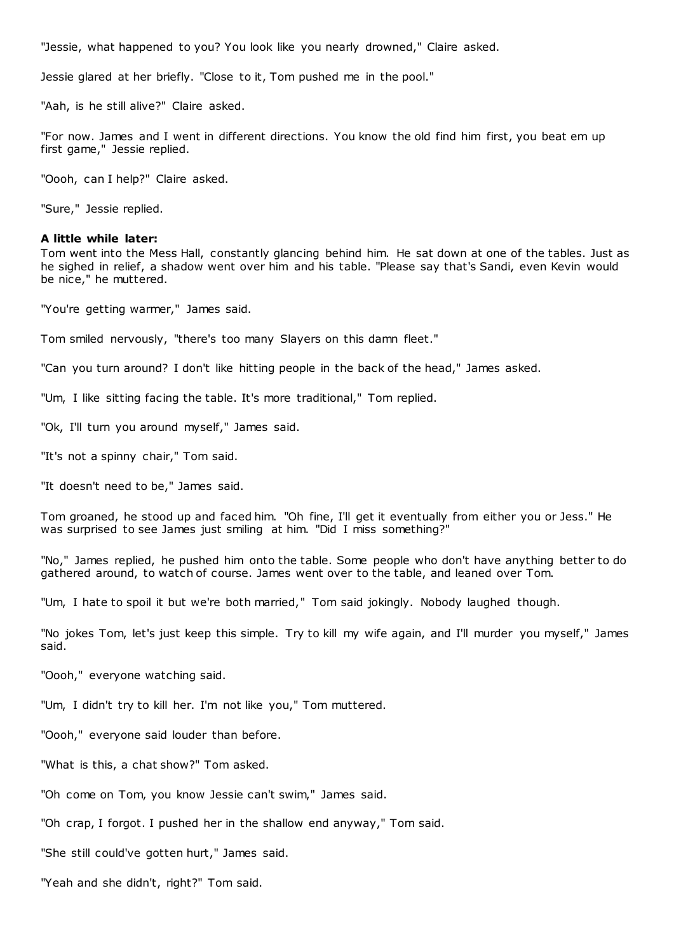"Jessie, what happened to you? You look like you nearly drowned," Claire asked.

Jessie glared at her briefly. "Close to it, Tom pushed me in the pool."

"Aah, is he still alive?" Claire asked.

"For now. James and I went in different directions. You know the old find him first, you beat em up first game," Jessie replied.

"Oooh, can I help?" Claire asked.

"Sure," Jessie replied.

### **A little while later:**

Tom went into the Mess Hall, constantly glancing behind him. He sat down at one of the tables. Just as he sighed in relief, a shadow went over him and his table. "Please say that's Sandi, even Kevin would be nice," he muttered.

"You're getting warmer," James said.

Tom smiled nervously, "there's too many Slayers on this damn fleet."

"Can you turn around? I don't like hitting people in the back of the head," James asked.

"Um, I like sitting facing the table. It's more traditional," Tom replied.

"Ok, I'll turn you around myself," James said.

"It's not a spinny chair," Tom said.

"It doesn't need to be," James said.

Tom groaned, he stood up and faced him. "Oh fine, I'll get it eventually from either you or Jess." He was surprised to see James just smiling at him. "Did I miss something?"

"No," James replied, he pushed him onto the table. Some people who don't have anything better to do gathered around, to watch of course. James went over to the table, and leaned over Tom.

"Um, I hate to spoil it but we're both married," Tom said jokingly. Nobody laughed though.

"No jokes Tom, let's just keep this simple. Try to kill my wife again, and I'll murder you myself," James said.

"Oooh," everyone watching said.

"Um, I didn't try to kill her. I'm not like you," Tom muttered.

"Oooh," everyone said louder than before.

"What is this, a chat show?" Tom asked.

"Oh come on Tom, you know Jessie can't swim," James said.

"Oh crap, I forgot. I pushed her in the shallow end anyway," Tom said.

"She still could've gotten hurt," James said.

"Yeah and she didn't, right?" Tom said.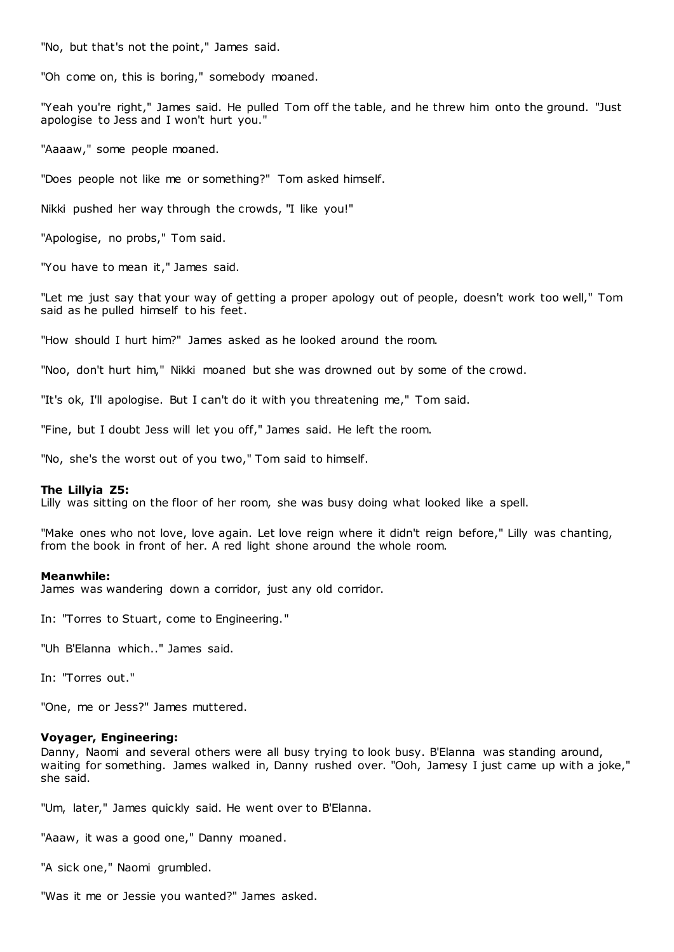"No, but that's not the point," James said.

"Oh come on, this is boring," somebody moaned.

"Yeah you're right," James said. He pulled Tom off the table, and he threw him onto the ground. "Just apologise to Jess and I won't hurt you."

"Aaaaw," some people moaned.

"Does people not like me or something?" Tom asked himself.

Nikki pushed her way through the crowds, "I like you!"

"Apologise, no probs," Tom said.

"You have to mean it," James said.

"Let me just say that your way of getting a proper apology out of people, doesn't work too well," Tom said as he pulled himself to his feet.

"How should I hurt him?" James asked as he looked around the room.

"Noo, don't hurt him," Nikki moaned but she was drowned out by some of the crowd.

"It's ok, I'll apologise. But I can't do it with you threatening me," Tom said.

"Fine, but I doubt Jess will let you off," James said. He left the room.

"No, she's the worst out of you two," Tom said to himself.

### **The Lillyia Z5:**

Lilly was sitting on the floor of her room, she was busy doing what looked like a spell.

"Make ones who not love, love again. Let love reign where it didn't reign before," Lilly was chanting, from the book in front of her. A red light shone around the whole room.

#### **Meanwhile:**

James was wandering down a corridor, just any old corridor.

In: "Torres to Stuart, come to Engineering."

"Uh B'Elanna which.." James said.

In: "Torres out."

"One, me or Jess?" James muttered.

### **Voyager, Engineering:**

Danny, Naomi and several others were all busy trying to look busy. B'Elanna was standing around, waiting for something. James walked in, Danny rushed over. "Ooh, Jamesy I just came up with a joke," she said.

"Um, later," James quickly said. He went over to B'Elanna.

"Aaaw, it was a good one," Danny moaned.

"A sick one," Naomi grumbled.

"Was it me or Jessie you wanted?" James asked.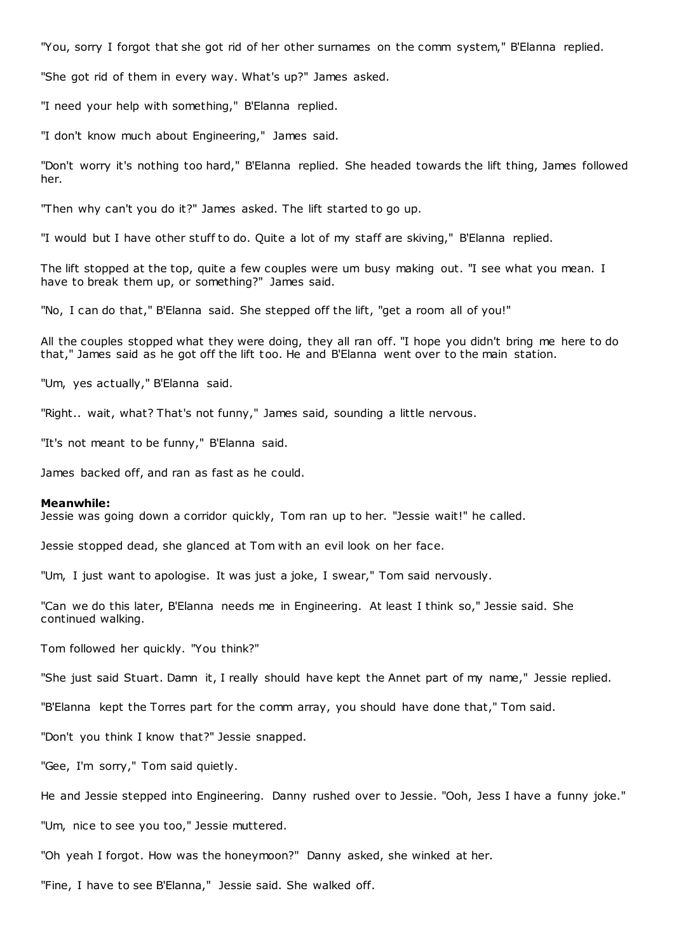"You, sorry I forgot that she got rid of her other surnames on the comm system," B'Elanna replied.

"She got rid of them in every way. What's up?" James asked.

"I need your help with something," B'Elanna replied.

"I don't know much about Engineering," James said.

"Don't worry it's nothing too hard," B'Elanna replied. She headed towards the lift thing, James followed her.

"Then why can't you do it?" James asked. The lift started to go up.

"I would but I have other stuff to do. Quite a lot of my staff are skiving," B'Elanna replied.

The lift stopped at the top, quite a few couples were um busy making out. "I see what you mean. I have to break them up, or something?" James said.

"No, I can do that," B'Elanna said. She stepped off the lift, "get a room all of you!"

All the couples stopped what they were doing, they all ran off. "I hope you didn't bring me here to do that," James said as he got off the lift too. He and B'Elanna went over to the main station.

"Um, yes actually," B'Elanna said.

"Right.. wait, what? That's not funny," James said, sounding a little nervous.

"It's not meant to be funny," B'Elanna said.

James backed off, and ran as fast as he could.

### **Meanwhile:**

Jessie was going down a corridor quickly, Tom ran up to her. "Jessie wait!" he called.

Jessie stopped dead, she glanced at Tom with an evil look on her face.

"Um, I just want to apologise. It was just a joke, I swear," Tom said nervously.

"Can we do this later, B'Elanna needs me in Engineering. At least I think so," Jessie said. She continued walking.

Tom followed her quickly. "You think?"

"She just said Stuart. Damn it, I really should have kept the Annet part of my name," Jessie replied.

"B'Elanna kept the Torres part for the comm array, you should have done that," Tom said.

"Don't you think I know that?" Jessie snapped.

"Gee, I'm sorry," Tom said quietly.

He and Jessie stepped into Engineering. Danny rushed over to Jessie. "Ooh, Jess I have a funny joke."

"Um, nice to see you too," Jessie muttered.

"Oh yeah I forgot. How was the honeymoon?" Danny asked, she winked at her.

"Fine, I have to see B'Elanna," Jessie said. She walked off.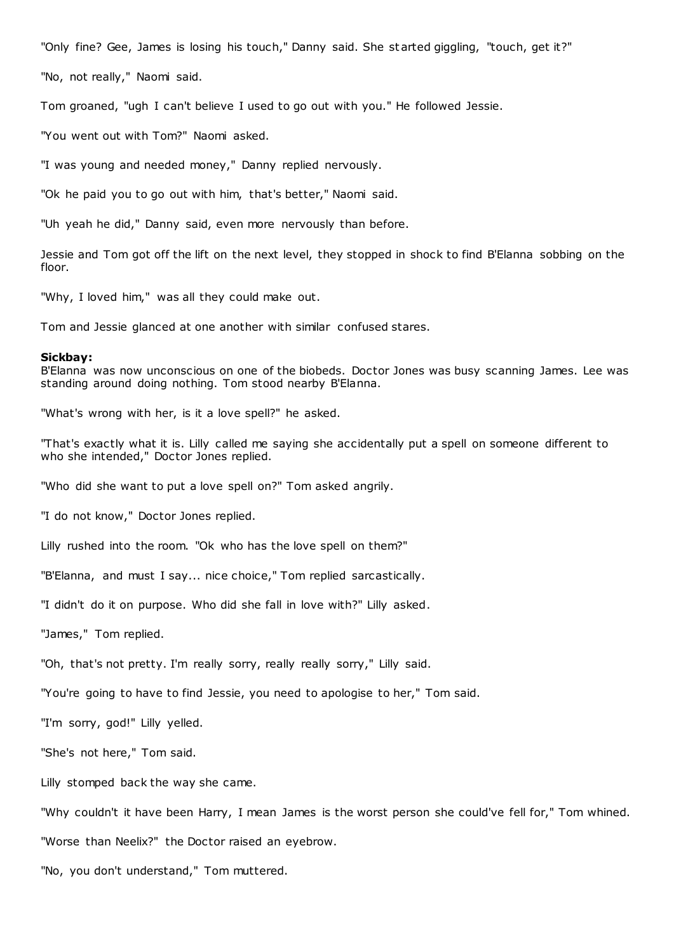"Only fine? Gee, James is losing his touch," Danny said. She st arted giggling, "touch, get it?"

"No, not really," Naomi said.

Tom groaned, "ugh I can't believe I used to go out with you." He followed Jessie.

"You went out with Tom?" Naomi asked.

"I was young and needed money," Danny replied nervously.

"Ok he paid you to go out with him, that's better," Naomi said.

"Uh yeah he did," Danny said, even more nervously than before.

Jessie and Tom got off the lift on the next level, they stopped in shock to find B'Elanna sobbing on the floor.

"Why, I loved him," was all they could make out.

Tom and Jessie glanced at one another with similar confused stares.

#### **Sickbay:**

B'Elanna was now unconscious on one of the biobeds. Doctor Jones was busy scanning James. Lee was standing around doing nothing. Tom stood nearby B'Elanna.

"What's wrong with her, is it a love spell?" he asked.

"That's exactly what it is. Lilly called me saying she accidentally put a spell on someone different to who she intended," Doctor Jones replied.

"Who did she want to put a love spell on?" Tom asked angrily.

"I do not know," Doctor Jones replied.

Lilly rushed into the room. "Ok who has the love spell on them?"

"B'Elanna, and must I say... nice choice," Tom replied sarcastically.

"I didn't do it on purpose. Who did she fall in love with?" Lilly asked.

"James," Tom replied.

"Oh, that's not pretty. I'm really sorry, really really sorry," Lilly said.

"You're going to have to find Jessie, you need to apologise to her," Tom said.

"I'm sorry, god!" Lilly yelled.

"She's not here," Tom said.

Lilly stomped back the way she came.

"Why couldn't it have been Harry, I mean James is the worst person she could've fell for," Tom whined.

"Worse than Neelix?" the Doctor raised an eyebrow.

"No, you don't understand," Tom muttered.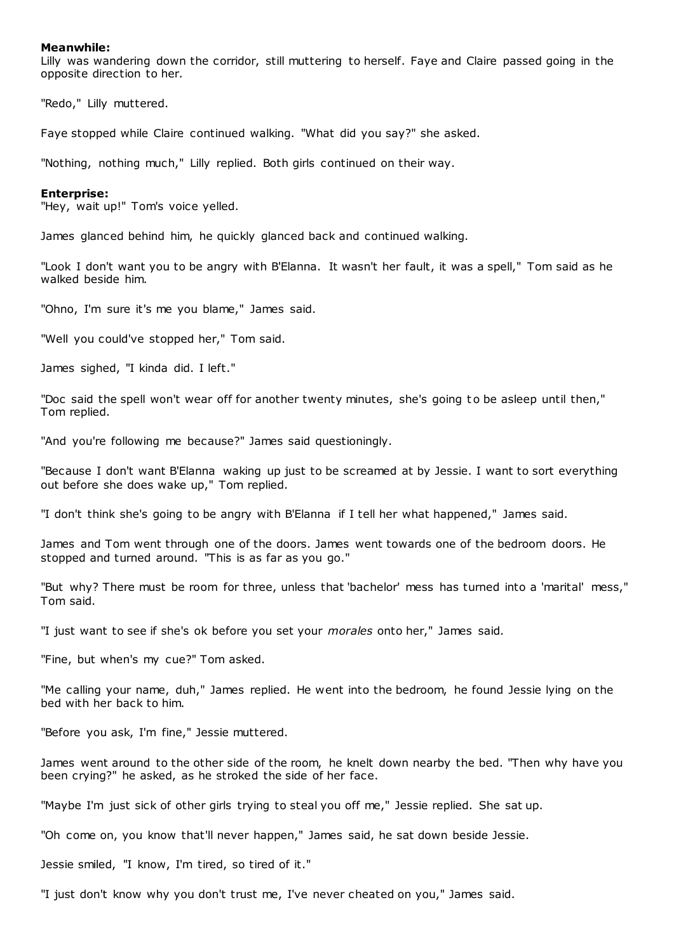### **Meanwhile:**

Lilly was wandering down the corridor, still muttering to herself. Faye and Claire passed going in the opposite direction to her.

"Redo," Lilly muttered.

Faye stopped while Claire continued walking. "What did you say?" she asked.

"Nothing, nothing much," Lilly replied. Both girls continued on their way.

### **Enterprise:**

"Hey, wait up!" Tom's voice yelled.

James glanced behind him, he quickly glanced back and continued walking.

"Look I don't want you to be angry with B'Elanna. It wasn't her fault, it was a spell," Tom said as he walked beside him.

"Ohno, I'm sure it's me you blame," James said.

"Well you could've stopped her," Tom said.

James sighed, "I kinda did. I left."

"Doc said the spell won't wear off for another twenty minutes, she's going to be asleep until then," Tom replied.

"And you're following me because?" James said questioningly.

"Because I don't want B'Elanna waking up just to be screamed at by Jessie. I want to sort everything out before she does wake up," Tom replied.

"I don't think she's going to be angry with B'Elanna if I tell her what happened," James said.

James and Tom went through one of the doors. James went towards one of the bedroom doors. He stopped and turned around. "This is as far as you go."

"But why? There must be room for three, unless that 'bachelor' mess has turned into a 'marital' mess," Tom said.

"I just want to see if she's ok before you set your *morales* onto her," James said.

"Fine, but when's my cue?" Tom asked.

"Me calling your name, duh," James replied. He went into the bedroom, he found Jessie lying on the bed with her back to him.

"Before you ask, I'm fine," Jessie muttered.

James went around to the other side of the room, he knelt down nearby the bed. "Then why have you been crying?" he asked, as he stroked the side of her face.

"Maybe I'm just sick of other girls trying to steal you off me," Jessie replied. She sat up.

"Oh come on, you know that'll never happen," James said, he sat down beside Jessie.

Jessie smiled, "I know, I'm tired, so tired of it."

"I just don't know why you don't trust me, I've never cheated on you," James said.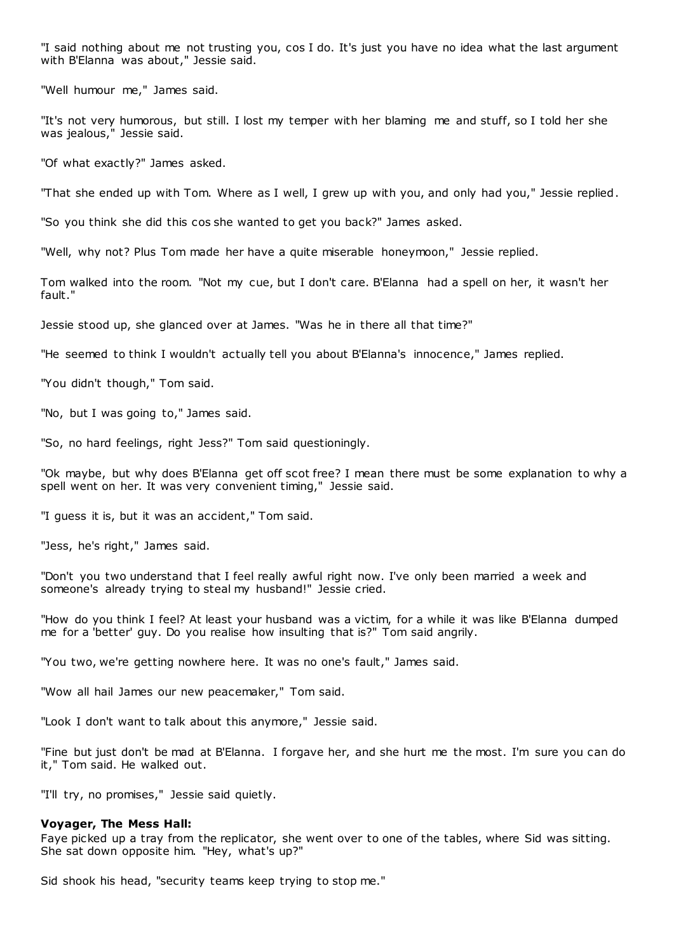"I said nothing about me not trusting you, cos I do. It's just you have no idea what the last argument with B'Elanna was about," Jessie said.

"Well humour me," James said.

"It's not very humorous, but still. I lost my temper with her blaming me and stuff, so I told her she was jealous," Jessie said.

"Of what exactly?" James asked.

"That she ended up with Tom. Where as I well, I grew up with you, and only had you," Jessie replied.

"So you think she did this cos she wanted to get you back?" James asked.

"Well, why not? Plus Tom made her have a quite miserable honeymoon," Jessie replied.

Tom walked into the room. "Not my cue, but I don't care. B'Elanna had a spell on her, it wasn't her fault."

Jessie stood up, she glanced over at James. "Was he in there all that time?"

"He seemed to think I wouldn't actually tell you about B'Elanna's innocence," James replied.

"You didn't though," Tom said.

"No, but I was going to," James said.

"So, no hard feelings, right Jess?" Tom said questioningly.

"Ok maybe, but why does B'Elanna get off scot free? I mean there must be some explanation to why a spell went on her. It was very convenient timing," Jessie said.

"I guess it is, but it was an accident," Tom said.

"Jess, he's right," James said.

"Don't you two understand that I feel really awful right now. I've only been married a week and someone's already trying to steal my husband!" Jessie cried.

"How do you think I feel? At least your husband was a victim, for a while it was like B'Elanna dumped me for a 'better' guy. Do you realise how insulting that is?" Tom said angrily.

"You two, we're getting nowhere here. It was no one's fault," James said.

"Wow all hail James our new peacemaker," Tom said.

"Look I don't want to talk about this anymore," Jessie said.

"Fine but just don't be mad at B'Elanna. I forgave her, and she hurt me the most. I'm sure you can do it," Tom said. He walked out.

"I'll try, no promises," Jessie said quietly.

#### **Voyager, The Mess Hall:**

Faye picked up a tray from the replicator, she went over to one of the tables, where Sid was sitting. She sat down opposite him. "Hey, what's up?"

Sid shook his head, "security teams keep trying to stop me."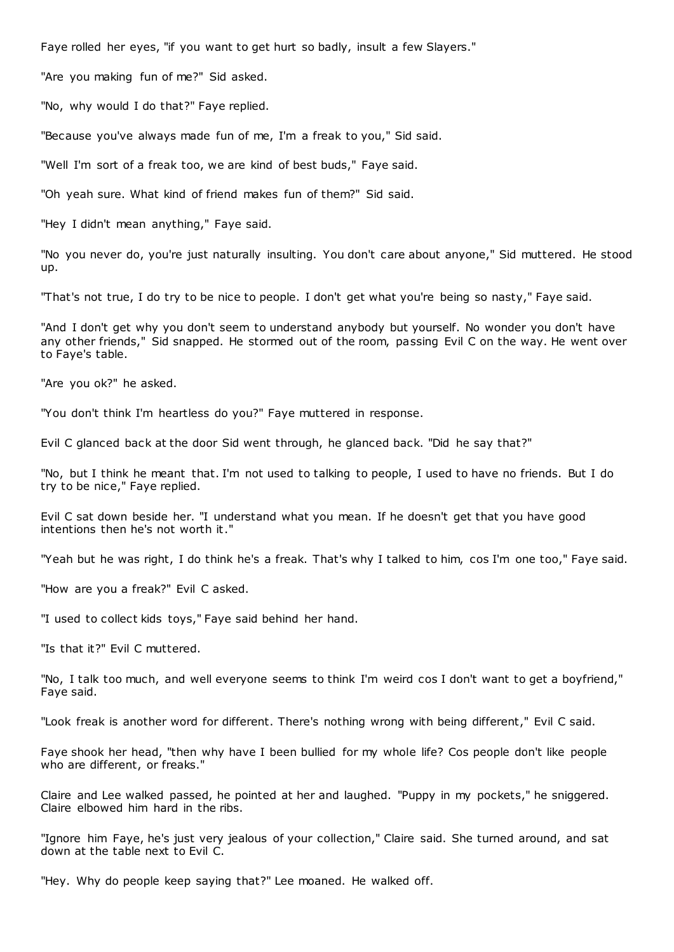Faye rolled her eyes, "if you want to get hurt so badly, insult a few Slayers."

"Are you making fun of me?" Sid asked.

"No, why would I do that?" Faye replied.

"Because you've always made fun of me, I'm a freak to you," Sid said.

"Well I'm sort of a freak too, we are kind of best buds," Faye said.

"Oh yeah sure. What kind of friend makes fun of them?" Sid said.

"Hey I didn't mean anything," Faye said.

"No you never do, you're just naturally insulting. You don't care about anyone," Sid muttered. He stood up.

"That's not true, I do try to be nice to people. I don't get what you're being so nasty," Faye said.

"And I don't get why you don't seem to understand anybody but yourself. No wonder you don't have any other friends," Sid snapped. He stormed out of the room, passing Evil C on the way. He went over to Faye's table.

"Are you ok?" he asked.

"You don't think I'm heartless do you?" Faye muttered in response.

Evil C glanced back at the door Sid went through, he glanced back. "Did he say that?"

"No, but I think he meant that. I'm not used to talking to people, I used to have no friends. But I do try to be nice," Faye replied.

Evil C sat down beside her. "I understand what you mean. If he doesn't get that you have good intentions then he's not worth it."

"Yeah but he was right, I do think he's a freak. That's why I talked to him, cos I'm one too," Faye said.

"How are you a freak?" Evil C asked.

"I used to collect kids toys," Faye said behind her hand.

"Is that it?" Evil C muttered.

"No, I talk too much, and well everyone seems to think I'm weird cos I don't want to get a boyfriend," Faye said.

"Look freak is another word for different. There's nothing wrong with being different," Evil C said.

Faye shook her head, "then why have I been bullied for my whole life? Cos people don't like people who are different, or freaks."

Claire and Lee walked passed, he pointed at her and laughed. "Puppy in my pockets," he sniggered. Claire elbowed him hard in the ribs.

"Ignore him Faye, he's just very jealous of your collection," Claire said. She turned around, and sat down at the table next to Evil C.

"Hey. Why do people keep saying that?" Lee moaned. He walked off.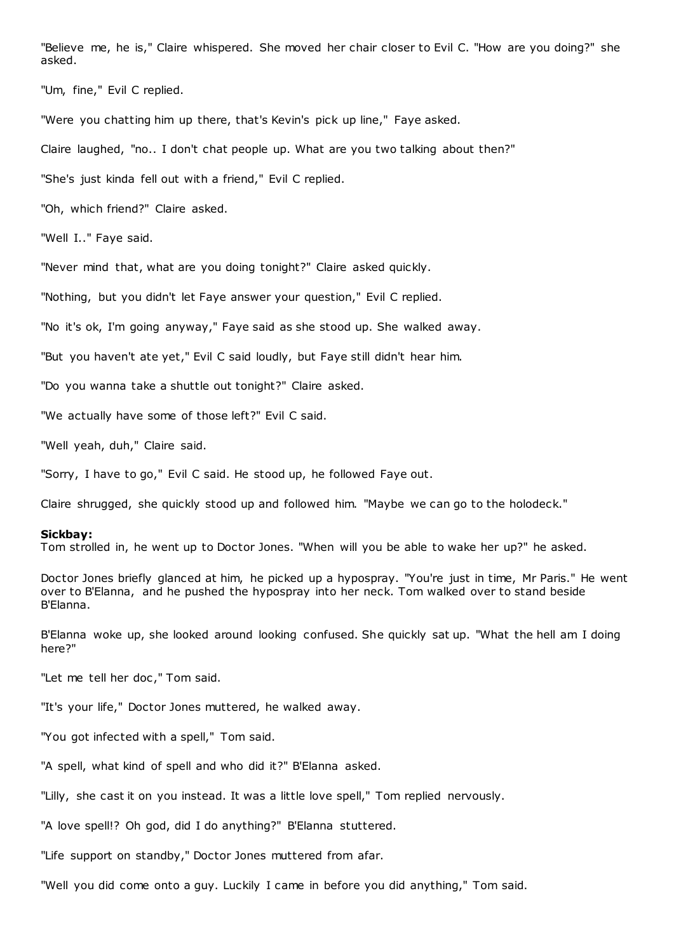"Believe me, he is," Claire whispered. She moved her chair closer to Evil C. "How are you doing?" she asked.

"Um, fine," Evil C replied.

"Were you chatting him up there, that's Kevin's pick up line," Faye asked.

Claire laughed, "no.. I don't chat people up. What are you two talking about then?"

"She's just kinda fell out with a friend," Evil C replied.

"Oh, which friend?" Claire asked.

"Well I.." Faye said.

"Never mind that, what are you doing tonight?" Claire asked quickly.

"Nothing, but you didn't let Faye answer your question," Evil C replied.

"No it's ok, I'm going anyway," Faye said as she stood up. She walked away.

"But you haven't ate yet," Evil C said loudly, but Faye still didn't hear him.

"Do you wanna take a shuttle out tonight?" Claire asked.

"We actually have some of those left?" Evil C said.

"Well yeah, duh," Claire said.

"Sorry, I have to go," Evil C said. He stood up, he followed Faye out.

Claire shrugged, she quickly stood up and followed him. "Maybe we can go to the holodeck."

#### **Sickbay:**

Tom strolled in, he went up to Doctor Jones. "When will you be able to wake her up?" he asked.

Doctor Jones briefly glanced at him, he picked up a hypospray. "You're just in time, Mr Paris." He went over to B'Elanna, and he pushed the hypospray into her neck. Tom walked over to stand beside B'Elanna.

B'Elanna woke up, she looked around looking confused. She quickly sat up. "What the hell am I doing here?"

"Let me tell her doc," Tom said.

"It's your life," Doctor Jones muttered, he walked away.

"You got infected with a spell," Tom said.

"A spell, what kind of spell and who did it?" B'Elanna asked.

"Lilly, she cast it on you instead. It was a little love spell," Tom replied nervously.

"A love spell!? Oh god, did I do anything?" B'Elanna stuttered.

"Life support on standby," Doctor Jones muttered from afar.

"Well you did come onto a guy. Luckily I came in before you did anything," Tom said.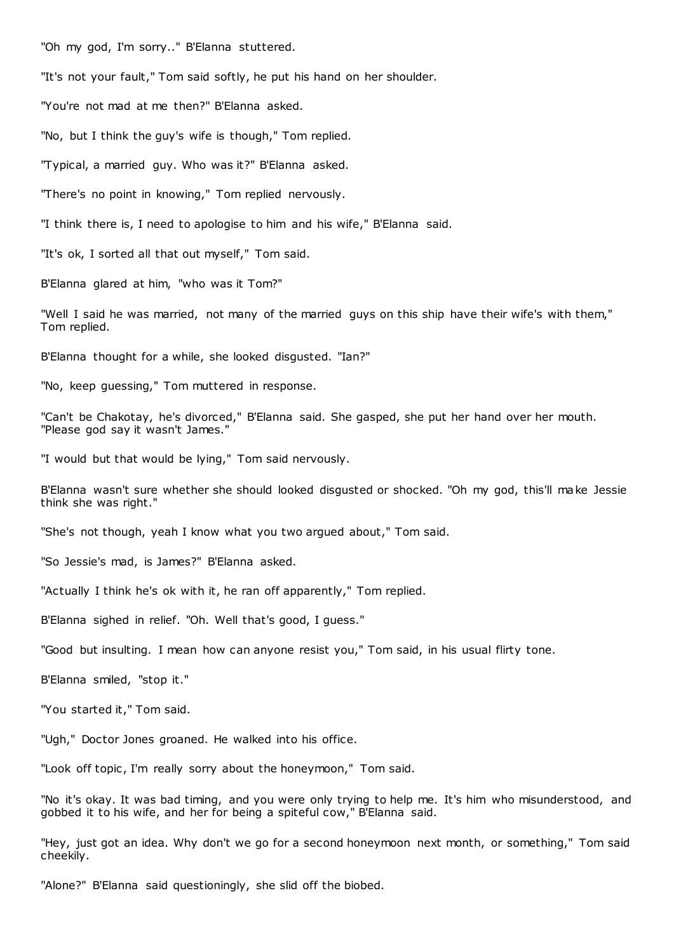"Oh my god, I'm sorry.." B'Elanna stuttered.

"It's not your fault," Tom said softly, he put his hand on her shoulder.

"You're not mad at me then?" B'Elanna asked.

"No, but I think the guy's wife is though," Tom replied.

"Typical, a married guy. Who was it?" B'Elanna asked.

"There's no point in knowing," Tom replied nervously.

"I think there is, I need to apologise to him and his wife," B'Elanna said.

"It's ok, I sorted all that out myself," Tom said.

B'Elanna glared at him, "who was it Tom?"

"Well I said he was married, not many of the married guys on this ship have their wife's with them," Tom replied.

B'Elanna thought for a while, she looked disgusted. "Ian?"

"No, keep guessing," Tom muttered in response.

"Can't be Chakotay, he's divorced," B'Elanna said. She gasped, she put her hand over her mouth. "Please god say it wasn't James."

"I would but that would be lying," Tom said nervously.

B'Elanna wasn't sure whether she should looked disgusted or shocked. "Oh my god, this'll make Jessie think she was right."

"She's not though, yeah I know what you two argued about," Tom said.

"So Jessie's mad, is James?" B'Elanna asked.

"Actually I think he's ok with it, he ran off apparently," Tom replied.

B'Elanna sighed in relief. "Oh. Well that's good, I guess."

"Good but insulting. I mean how can anyone resist you," Tom said, in his usual flirty tone.

B'Elanna smiled, "stop it."

"You started it," Tom said.

"Ugh," Doctor Jones groaned. He walked into his office.

"Look off topic, I'm really sorry about the honeymoon," Tom said.

"No it's okay. It was bad timing, and you were only trying to help me. It's him who misunderstood, and gobbed it to his wife, and her for being a spiteful cow," B'Elanna said.

"Hey, just got an idea. Why don't we go for a second honeymoon next month, or something," Tom said cheekily.

"Alone?" B'Elanna said questioningly, she slid off the biobed.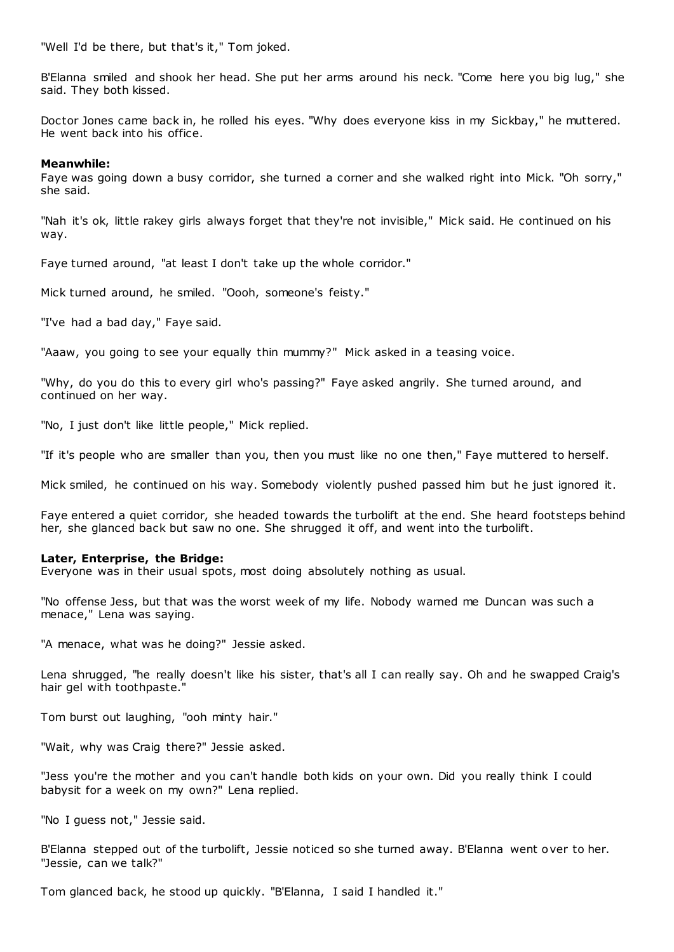"Well I'd be there, but that's it," Tom joked.

B'Elanna smiled and shook her head. She put her arms around his neck. "Come here you big lug," she said. They both kissed.

Doctor Jones came back in, he rolled his eyes. "Why does everyone kiss in my Sickbay," he muttered. He went back into his office.

### **Meanwhile:**

Faye was going down a busy corridor, she turned a corner and she walked right into Mick. "Oh sorry," she said.

"Nah it's ok, little rakey girls always forget that they're not invisible," Mick said. He continued on his way.

Faye turned around, "at least I don't take up the whole corridor."

Mick turned around, he smiled. "Oooh, someone's feisty."

"I've had a bad day," Faye said.

"Aaaw, you going to see your equally thin mummy?" Mick asked in a teasing voice.

"Why, do you do this to every girl who's passing?" Faye asked angrily. She turned around, and continued on her way.

"No, I just don't like little people," Mick replied.

"If it's people who are smaller than you, then you must like no one then," Faye muttered to herself.

Mick smiled, he continued on his way. Somebody violently pushed passed him but he just ignored it.

Faye entered a quiet corridor, she headed towards the turbolift at the end. She heard footsteps behind her, she glanced back but saw no one. She shrugged it off, and went into the turbolift.

# **Later, Enterprise, the Bridge:**

Everyone was in their usual spots, most doing absolutely nothing as usual.

"No offense Jess, but that was the worst week of my life. Nobody warned me Duncan was such a menace," Lena was saying.

"A menace, what was he doing?" Jessie asked.

Lena shrugged, "he really doesn't like his sister, that's all I can really say. Oh and he swapped Craig's hair gel with toothpaste."

Tom burst out laughing, "ooh minty hair."

"Wait, why was Craig there?" Jessie asked.

"Jess you're the mother and you can't handle both kids on your own. Did you really think I could babysit for a week on my own?" Lena replied.

"No I guess not," Jessie said.

B'Elanna stepped out of the turbolift, Jessie noticed so she turned away. B'Elanna went over to her. "Jessie, can we talk?"

Tom glanced back, he stood up quickly. "B'Elanna, I said I handled it."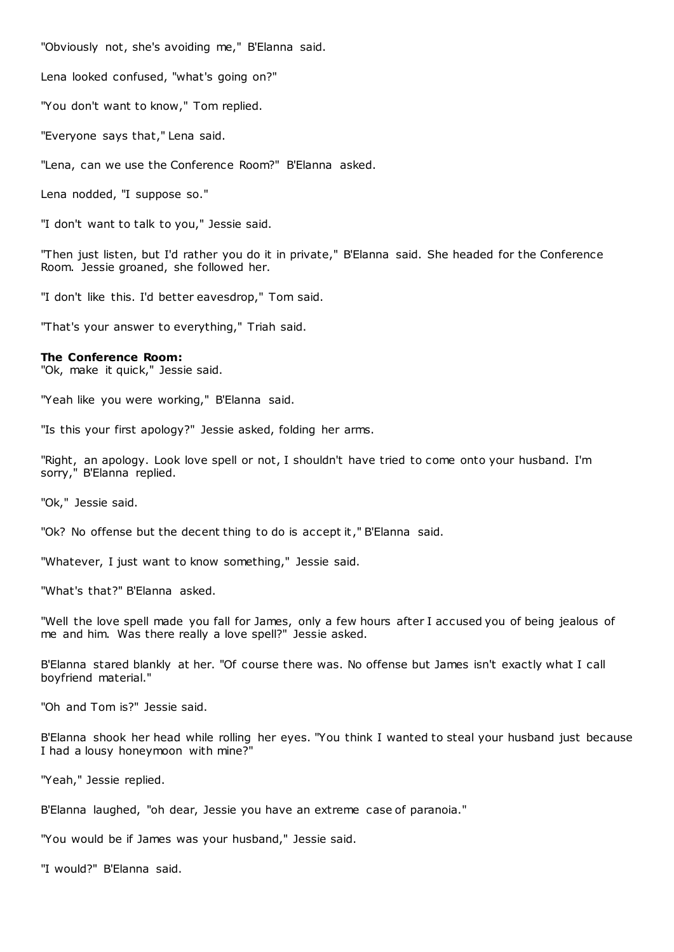"Obviously not, she's avoiding me," B'Elanna said.

Lena looked confused, "what's going on?"

"You don't want to know," Tom replied.

"Everyone says that," Lena said.

"Lena, can we use the Conference Room?" B'Elanna asked.

Lena nodded, "I suppose so."

"I don't want to talk to you," Jessie said.

"Then just listen, but I'd rather you do it in private," B'Elanna said. She headed for the Conference Room. Jessie groaned, she followed her.

"I don't like this. I'd better eavesdrop," Tom said.

"That's your answer to everything," Triah said.

### **The Conference Room:**

"Ok, make it quick," Jessie said.

"Yeah like you were working," B'Elanna said.

"Is this your first apology?" Jessie asked, folding her arms.

"Right, an apology. Look love spell or not, I shouldn't have tried to come onto your husband. I'm sorry," B'Elanna replied.

"Ok," Jessie said.

"Ok? No offense but the decent thing to do is accept it," B'Elanna said.

"Whatever, I just want to know something," Jessie said.

"What's that?" B'Elanna asked.

"Well the love spell made you fall for James, only a few hours after I accused you of being jealous of me and him. Was there really a love spell?" Jessie asked.

B'Elanna stared blankly at her. "Of course there was. No offense but James isn't exactly what I call boyfriend material."

"Oh and Tom is?" Jessie said.

B'Elanna shook her head while rolling her eyes. "You think I wanted to steal your husband just because I had a lousy honeymoon with mine?"

"Yeah," Jessie replied.

B'Elanna laughed, "oh dear, Jessie you have an extreme case of paranoia."

"You would be if James was your husband," Jessie said.

"I would?" B'Elanna said.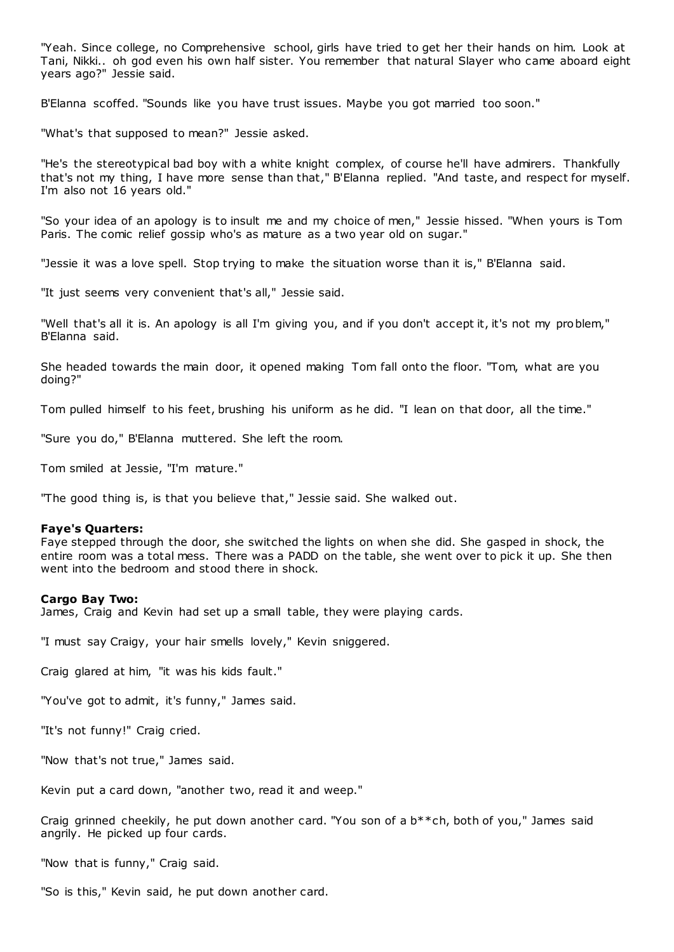"Yeah. Since college, no Comprehensive school, girls have tried to get her their hands on him. Look at Tani, Nikki.. oh god even his own half sister. You remember that natural Slayer who came aboard eight years ago?" Jessie said.

B'Elanna scoffed. "Sounds like you have trust issues. Maybe you got married too soon."

"What's that supposed to mean?" Jessie asked.

"He's the stereotypical bad boy with a white knight complex, of course he'll have admirers. Thankfully that's not my thing, I have more sense than that," B'Elanna replied. "And taste, and respect for myself. I'm also not 16 years old."

"So your idea of an apology is to insult me and my choice of men," Jessie hissed. "When yours is Tom Paris. The comic relief gossip who's as mature as a two year old on sugar."

"Jessie it was a love spell. Stop trying to make the situation worse than it is," B'Elanna said.

"It just seems very convenient that's all," Jessie said.

"Well that's all it is. An apology is all I'm giving you, and if you don't accept it, it's not my problem," B'Elanna said.

She headed towards the main door, it opened making Tom fall onto the floor. "Tom, what are you doing?"

Tom pulled himself to his feet, brushing his uniform as he did. "I lean on that door, all the time."

"Sure you do," B'Elanna muttered. She left the room.

Tom smiled at Jessie, "I'm mature."

"The good thing is, is that you believe that," Jessie said. She walked out.

### **Faye's Quarters:**

Faye stepped through the door, she switched the lights on when she did. She gasped in shock, the entire room was a total mess. There was a PADD on the table, she went over to pick it up. She then went into the bedroom and stood there in shock.

### **Cargo Bay Two:**

James, Craig and Kevin had set up a small table, they were playing cards.

"I must say Craigy, your hair smells lovely," Kevin sniggered.

Craig glared at him, "it was his kids fault."

"You've got to admit, it's funny," James said.

"It's not funny!" Craig cried.

"Now that's not true," James said.

Kevin put a card down, "another two, read it and weep."

Craig grinned cheekily, he put down another card. "You son of a b\*\*ch, both of you," James said angrily. He picked up four cards.

"Now that is funny," Craig said.

"So is this," Kevin said, he put down another card.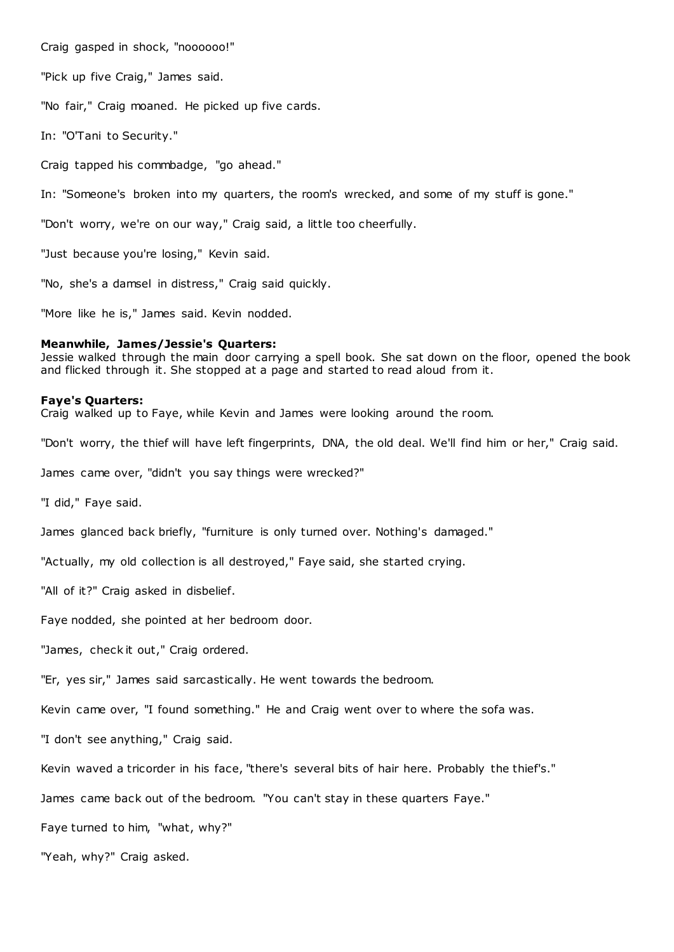Craig gasped in shock, "noooooo!"

"Pick up five Craig," James said.

"No fair," Craig moaned. He picked up five cards.

In: "O'Tani to Security."

Craig tapped his commbadge, "go ahead."

In: "Someone's broken into my quarters, the room's wrecked, and some of my stuff is gone."

"Don't worry, we're on our way," Craig said, a little too cheerfully.

"Just because you're losing," Kevin said.

"No, she's a damsel in distress," Craig said quickly.

"More like he is," James said. Kevin nodded.

### **Meanwhile, James/Jessie's Quarters:**

Jessie walked through the main door carrying a spell book. She sat down on the floor, opened the book and flicked through it. She stopped at a page and started to read aloud from it.

#### **Faye's Quarters:**

Craig walked up to Faye, while Kevin and James were looking around the room.

"Don't worry, the thief will have left fingerprints, DNA, the old deal. We'll find him or her," Craig said.

James came over, "didn't you say things were wrecked?"

"I did," Faye said.

James glanced back briefly, "furniture is only turned over. Nothing's damaged."

"Actually, my old collection is all destroyed," Faye said, she started crying.

"All of it?" Craig asked in disbelief.

Faye nodded, she pointed at her bedroom door.

"James, check it out," Craig ordered.

"Er, yes sir," James said sarcastically. He went towards the bedroom.

Kevin came over, "I found something." He and Craig went over to where the sofa was.

"I don't see anything," Craig said.

Kevin waved a tricorder in his face, "there's several bits of hair here. Probably the thief's."

James came back out of the bedroom. "You can't stay in these quarters Faye."

Faye turned to him, "what, why?"

"Yeah, why?" Craig asked.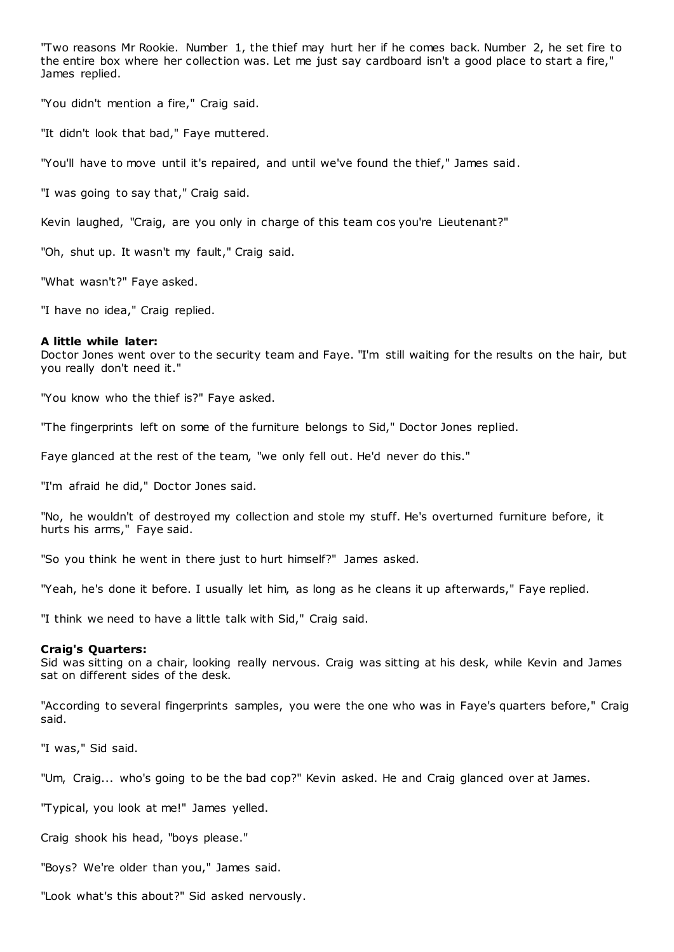"Two reasons Mr Rookie. Number 1, the thief may hurt her if he comes back. Number 2, he set fire to the entire box where her collection was. Let me just say cardboard isn't a good place to start a fire," James replied.

"You didn't mention a fire," Craig said.

"It didn't look that bad," Faye muttered.

"You'll have to move until it's repaired, and until we've found the thief," James said.

"I was going to say that," Craig said.

Kevin laughed, "Craig, are you only in charge of this team cos you're Lieutenant?"

"Oh, shut up. It wasn't my fault," Craig said.

"What wasn't?" Faye asked.

"I have no idea," Craig replied.

# **A little while later:**

Doctor Jones went over to the security team and Faye. "I'm still waiting for the results on the hair, but you really don't need it."

"You know who the thief is?" Faye asked.

"The fingerprints left on some of the furniture belongs to Sid," Doctor Jones replied.

Faye glanced at the rest of the team, "we only fell out. He'd never do this."

"I'm afraid he did," Doctor Jones said.

"No, he wouldn't of destroyed my collection and stole my stuff. He's overturned furniture before, it hurts his arms," Faye said.

"So you think he went in there just to hurt himself?" James asked.

"Yeah, he's done it before. I usually let him, as long as he cleans it up afterwards," Faye replied.

"I think we need to have a little talk with Sid," Craig said.

### **Craig's Quarters:**

Sid was sitting on a chair, looking really nervous. Craig was sitting at his desk, while Kevin and James sat on different sides of the desk.

"According to several fingerprints samples, you were the one who was in Faye's quarters before," Craig said.

"I was," Sid said.

"Um, Craig... who's going to be the bad cop?" Kevin asked. He and Craig glanced over at James.

"Typical, you look at me!" James yelled.

Craig shook his head, "boys please."

"Boys? We're older than you," James said.

"Look what's this about?" Sid asked nervously.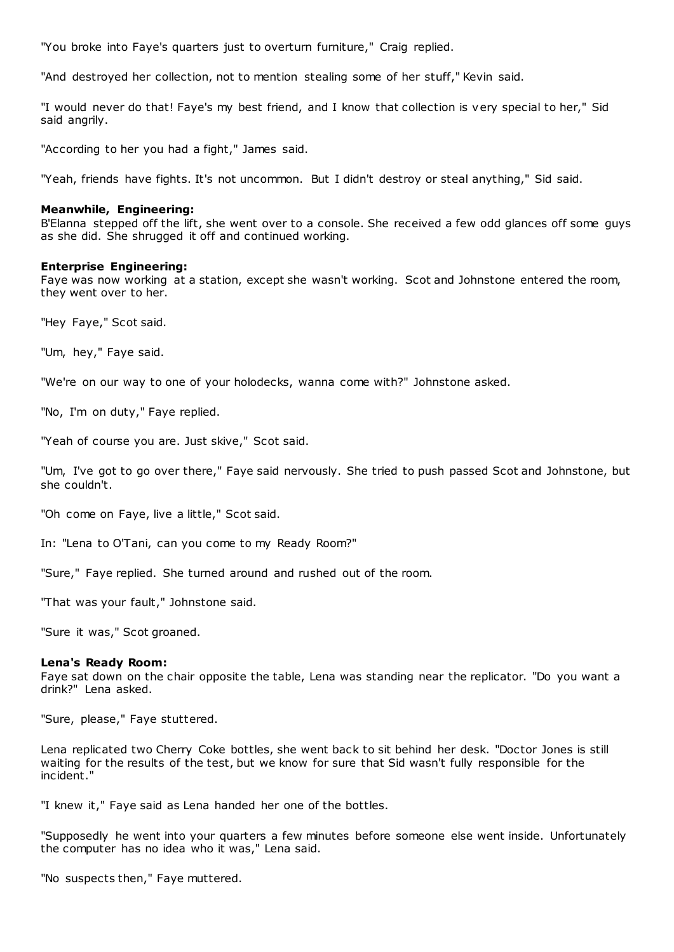"You broke into Faye's quarters just to overturn furniture," Craig replied.

"And destroyed her collection, not to mention stealing some of her stuff," Kevin said.

"I would never do that! Faye's my best friend, and I know that collection is very special to her," Sid said angrily.

"According to her you had a fight," James said.

"Yeah, friends have fights. It's not uncommon. But I didn't destroy or steal anything," Sid said.

### **Meanwhile, Engineering:**

B'Elanna stepped off the lift, she went over to a console. She received a few odd glances off some guys as she did. She shrugged it off and continued working.

### **Enterprise Engineering:**

Faye was now working at a station, except she wasn't working. Scot and Johnstone entered the room, they went over to her.

"Hey Faye," Scot said.

"Um, hey," Faye said.

"We're on our way to one of your holodecks, wanna come with?" Johnstone asked.

"No, I'm on duty," Faye replied.

"Yeah of course you are. Just skive," Scot said.

"Um, I've got to go over there," Faye said nervously. She tried to push passed Scot and Johnstone, but she couldn't.

"Oh come on Faye, live a little," Scot said.

In: "Lena to O'Tani, can you come to my Ready Room?"

"Sure," Faye replied. She turned around and rushed out of the room.

"That was your fault," Johnstone said.

"Sure it was," Scot groaned.

### **Lena's Ready Room:**

Faye sat down on the chair opposite the table, Lena was standing near the replicator. "Do you want a drink?" Lena asked.

"Sure, please," Faye stuttered.

Lena replicated two Cherry Coke bottles, she went back to sit behind her desk. "Doctor Jones is still waiting for the results of the test, but we know for sure that Sid wasn't fully responsible for the incident."

"I knew it," Faye said as Lena handed her one of the bottles.

"Supposedly he went into your quarters a few minutes before someone else went inside. Unfortunately the computer has no idea who it was," Lena said.

"No suspects then," Faye muttered.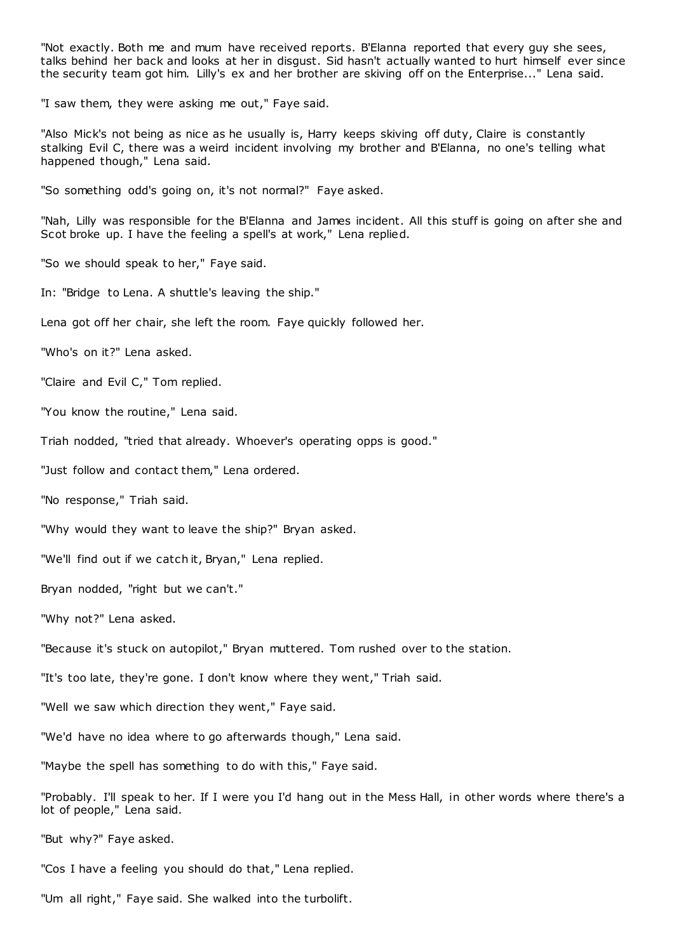"Not exactly. Both me and mum have received reports. B'Elanna reported that every guy she sees, talks behind her back and looks at her in disgust. Sid hasn't actually wanted to hurt himself ever since the security team got him. Lilly's ex and her brother are skiving off on the Enterprise..." Lena said.

"I saw them, they were asking me out," Faye said.

"Also Mick's not being as nice as he usually is, Harry keeps skiving off duty, Claire is constantly stalking Evil C, there was a weird incident involving my brother and B'Elanna, no one's telling what happened though," Lena said.

"So something odd's going on, it's not normal?" Faye asked.

"Nah, Lilly was responsible for the B'Elanna and James incident. All this stuff is going on after she and Scot broke up. I have the feeling a spell's at work," Lena replied.

"So we should speak to her," Faye said.

In: "Bridge to Lena. A shuttle's leaving the ship."

Lena got off her chair, she left the room. Faye quickly followed her.

"Who's on it?" Lena asked.

"Claire and Evil C," Tom replied.

"You know the routine," Lena said.

Triah nodded, "tried that already. Whoever's operating opps is good."

"Just follow and contact them," Lena ordered.

"No response," Triah said.

"Why would they want to leave the ship?" Bryan asked.

"We'll find out if we catch it, Bryan," Lena replied.

Bryan nodded, "right but we can't."

"Why not?" Lena asked.

"Because it's stuck on autopilot," Bryan muttered. Tom rushed over to the station.

"It's too late, they're gone. I don't know where they went," Triah said.

"Well we saw which direction they went," Faye said.

"We'd have no idea where to go afterwards though," Lena said.

"Maybe the spell has something to do with this," Faye said.

"Probably. I'll speak to her. If I were you I'd hang out in the Mess Hall, in other words where there's a lot of people," Lena said.

"But why?" Faye asked.

"Cos I have a feeling you should do that," Lena replied.

"Um all right," Faye said. She walked into the turbolift.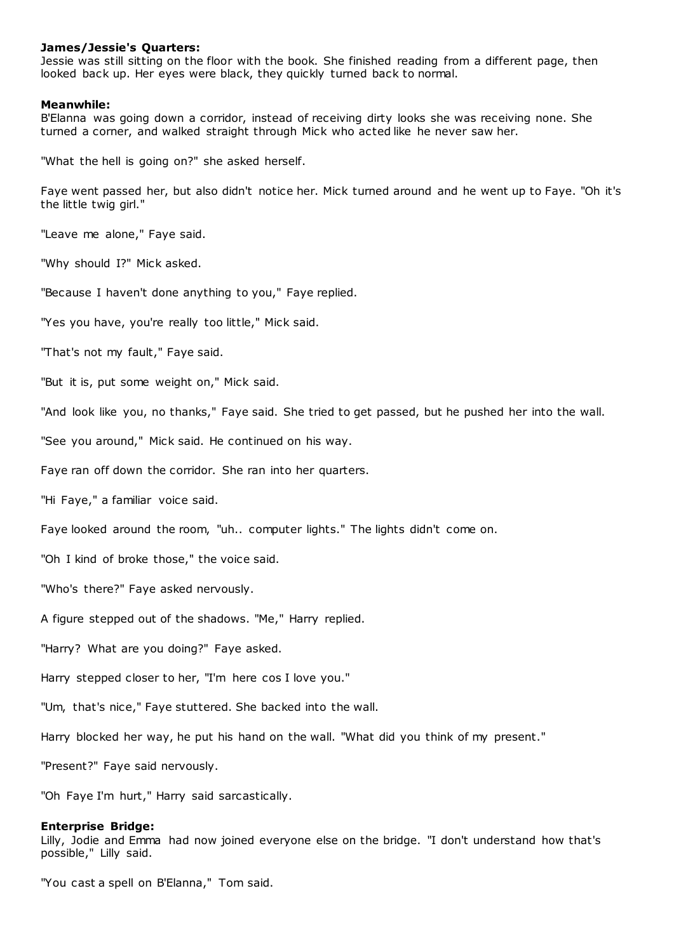# **James/Jessie's Quarters:**

Jessie was still sitting on the floor with the book. She finished reading from a different page, then looked back up. Her eyes were black, they quickly turned back to normal.

### **Meanwhile:**

B'Elanna was going down a corridor, instead of receiving dirty looks she was receiving none. She turned a corner, and walked straight through Mick who acted like he never saw her.

"What the hell is going on?" she asked herself.

Faye went passed her, but also didn't notice her. Mick turned around and he went up to Faye. "Oh it's the little twig girl."

"Leave me alone," Faye said.

"Why should I?" Mick asked.

"Because I haven't done anything to you," Faye replied.

"Yes you have, you're really too little," Mick said.

"That's not my fault," Faye said.

"But it is, put some weight on," Mick said.

"And look like you, no thanks," Faye said. She tried to get passed, but he pushed her into the wall.

"See you around," Mick said. He continued on his way.

Faye ran off down the corridor. She ran into her quarters.

"Hi Faye," a familiar voice said.

Faye looked around the room, "uh.. computer lights." The lights didn't come on.

"Oh I kind of broke those," the voice said.

"Who's there?" Faye asked nervously.

A figure stepped out of the shadows. "Me," Harry replied.

"Harry? What are you doing?" Faye asked.

Harry stepped closer to her, "I'm here cos I love you."

"Um, that's nice," Faye stuttered. She backed into the wall.

Harry blocked her way, he put his hand on the wall. "What did you think of my present."

"Present?" Faye said nervously.

"Oh Faye I'm hurt," Harry said sarcastically.

### **Enterprise Bridge:**

Lilly, Jodie and Emma had now joined everyone else on the bridge. "I don't understand how that's possible," Lilly said.

"You cast a spell on B'Elanna," Tom said.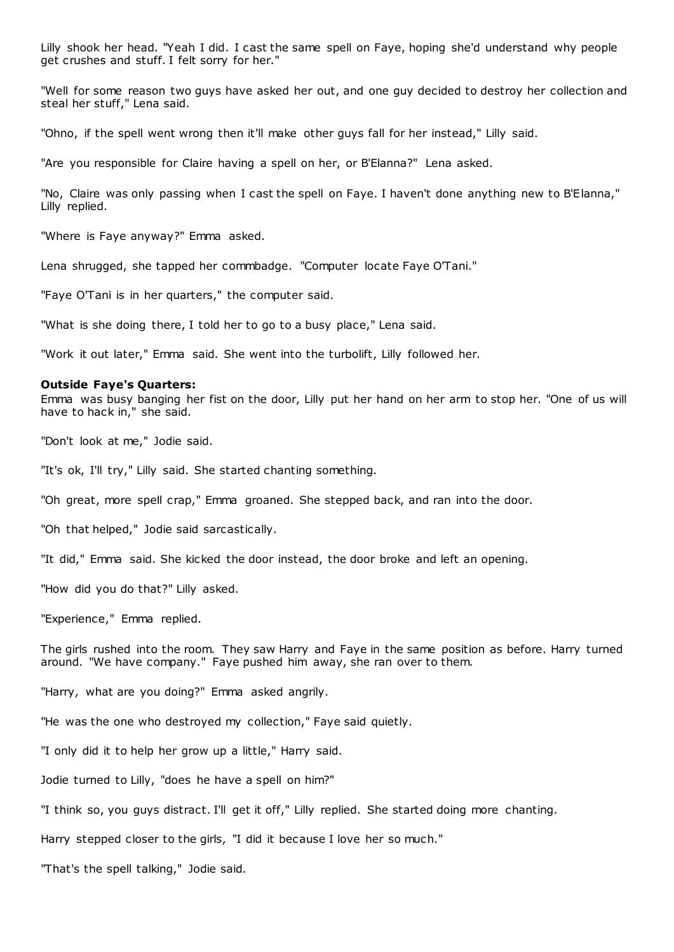Lilly shook her head. "Yeah I did. I cast the same spell on Faye, hoping she'd understand why people get crushes and stuff. I felt sorry for her."

"Well for some reason two guys have asked her out, and one guy decided to destroy her collection and steal her stuff," Lena said.

"Ohno, if the spell went wrong then it'll make other guys fall for her instead," Lilly said.

"Are you responsible for Claire having a spell on her, or B'Elanna?" Lena asked.

"No, Claire was only passing when I cast the spell on Faye. I haven't done anything new to B'Elanna," Lilly replied.

"Where is Faye anyway?" Emma asked.

Lena shrugged, she tapped her commbadge. "Computer locate Faye O'Tani."

"Faye O'Tani is in her quarters," the computer said.

"What is she doing there, I told her to go to a busy place," Lena said.

"Work it out later," Emma said. She went into the turbolift, Lilly followed her.

#### **Outside Faye's Quarters:**

Emma was busy banging her fist on the door, Lilly put her hand on her arm to stop her. "One of us will have to hack in," she said.

"Don't look at me," Jodie said.

"It's ok, I'll try," Lilly said. She started chanting something.

"Oh great, more spell crap," Emma groaned. She stepped back, and ran into the door.

"Oh that helped," Jodie said sarcastically.

"It did," Emma said. She kicked the door instead, the door broke and left an opening.

"How did you do that?" Lilly asked.

"Experience," Emma replied.

The girls rushed into the room. They saw Harry and Faye in the same position as before. Harry turned around. "We have company." Faye pushed him away, she ran over to them.

"Harry, what are you doing?" Emma asked angrily.

"He was the one who destroyed my collection," Faye said quietly.

"I only did it to help her grow up a little," Harry said.

Jodie turned to Lilly, "does he have a spell on him?"

"I think so, you guys distract. I'll get it off," Lilly replied. She started doing more chanting.

Harry stepped closer to the girls, "I did it because I love her so much."

"That's the spell talking," Jodie said.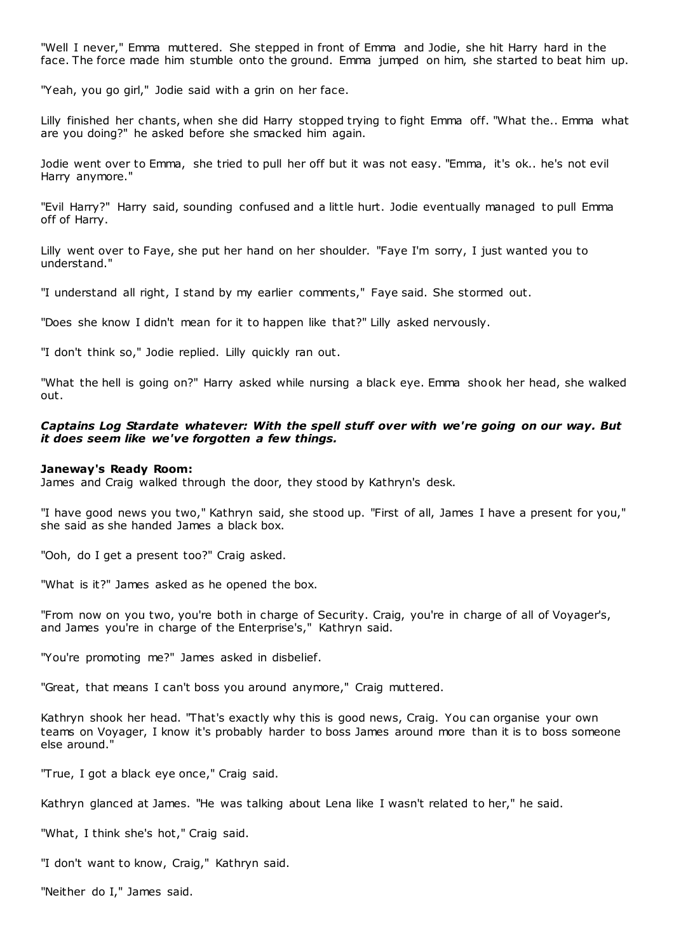"Well I never," Emma muttered. She stepped in front of Emma and Jodie, she hit Harry hard in the face. The force made him stumble onto the ground. Emma jumped on him, she started to beat him up.

"Yeah, you go girl," Jodie said with a grin on her face.

Lilly finished her chants, when she did Harry stopped trying to fight Emma off. "What the.. Emma what are you doing?" he asked before she smacked him again.

Jodie went over to Emma, she tried to pull her off but it was not easy. "Emma, it's ok.. he's not evil Harry anymore."

"Evil Harry?" Harry said, sounding confused and a little hurt. Jodie eventually managed to pull Emma off of Harry.

Lilly went over to Faye, she put her hand on her shoulder. "Faye I'm sorry, I just wanted you to understand."

"I understand all right, I stand by my earlier comments," Faye said. She stormed out.

"Does she know I didn't mean for it to happen like that?" Lilly asked nervously.

"I don't think so," Jodie replied. Lilly quickly ran out.

"What the hell is going on?" Harry asked while nursing a black eye. Emma shook her head, she walked out.

# *Captains Log Stardate whatever: With the spell stuff over with we're going on our way. But it does seem like we've forgotten a few things.*

#### **Janeway's Ready Room:**

James and Craig walked through the door, they stood by Kathryn's desk.

"I have good news you two," Kathryn said, she stood up. "First of all, James I have a present for you," she said as she handed James a black box.

"Ooh, do I get a present too?" Craig asked.

"What is it?" James asked as he opened the box.

"From now on you two, you're both in charge of Security. Craig, you're in charge of all of Voyager's, and James you're in charge of the Enterprise's," Kathryn said.

"You're promoting me?" James asked in disbelief.

"Great, that means I can't boss you around anymore," Craig muttered.

Kathryn shook her head. "That's exactly why this is good news, Craig. You can organise your own teams on Voyager, I know it's probably harder to boss James around more than it is to boss someone else around."

"True, I got a black eye once," Craig said.

Kathryn glanced at James. "He was talking about Lena like I wasn't related to her," he said.

"What, I think she's hot," Craig said.

"I don't want to know, Craig," Kathryn said.

"Neither do I," James said.